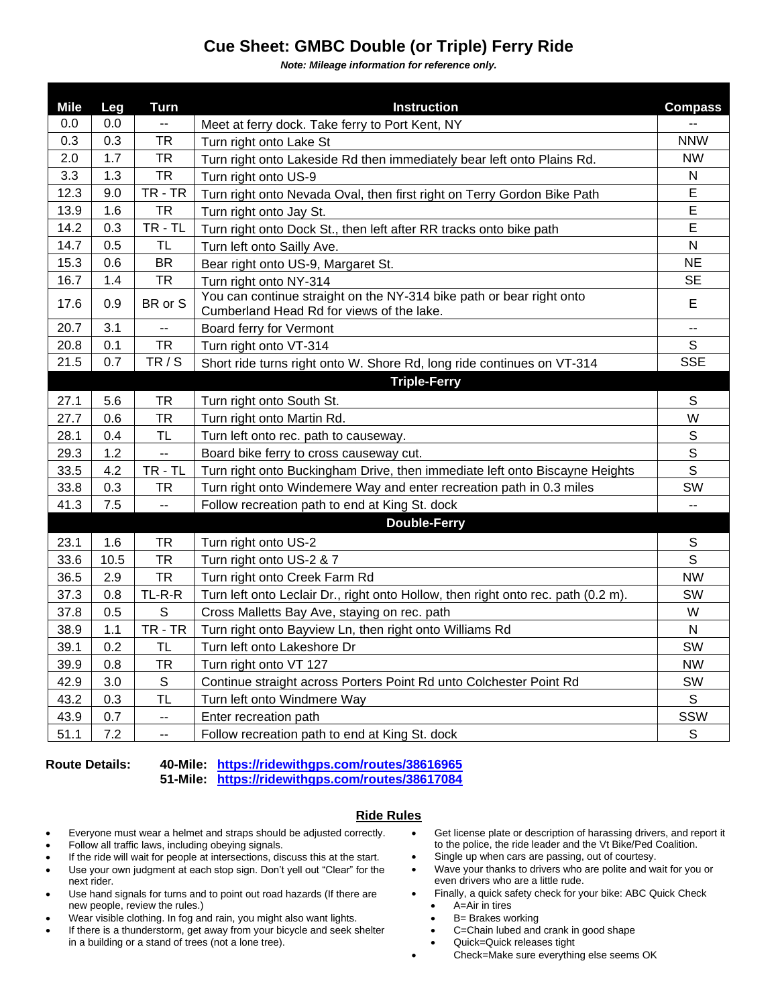## **Cue Sheet: GMBC Double (or Triple) Ferry Ride**

*Note: Mileage information for reference only.*

| <b>Mile</b> | Leg  | <b>Turn</b>              | <b>Instruction</b>                                                                                                | <b>Compass</b>           |
|-------------|------|--------------------------|-------------------------------------------------------------------------------------------------------------------|--------------------------|
| 0.0         | 0.0  | $\overline{\phantom{a}}$ | Meet at ferry dock. Take ferry to Port Kent, NY                                                                   |                          |
| 0.3         | 0.3  | TR                       | Turn right onto Lake St                                                                                           | <b>NNW</b>               |
| 2.0         | 1.7  | <b>TR</b>                | Turn right onto Lakeside Rd then immediately bear left onto Plains Rd.                                            | <b>NW</b>                |
| 3.3         | 1.3  | <b>TR</b>                | Turn right onto US-9                                                                                              | ${\sf N}$                |
| 12.3        | 9.0  | TR-TR                    | Turn right onto Nevada Oval, then first right on Terry Gordon Bike Path                                           | E                        |
| 13.9        | 1.6  | <b>TR</b>                | Turn right onto Jay St.                                                                                           | $\mathsf E$              |
| 14.2        | 0.3  | TR - TL                  | Turn right onto Dock St., then left after RR tracks onto bike path                                                | E                        |
| 14.7        | 0.5  | TL                       | Turn left onto Sailly Ave.                                                                                        | N                        |
| 15.3        | 0.6  | BR                       | Bear right onto US-9, Margaret St.                                                                                | NE                       |
| 16.7        | 1.4  | TR                       | Turn right onto NY-314                                                                                            | <b>SE</b>                |
| 17.6        | 0.9  | BR or S                  | You can continue straight on the NY-314 bike path or bear right onto<br>Cumberland Head Rd for views of the lake. | E                        |
| 20.7        | 3.1  | $\overline{a}$           | Board ferry for Vermont                                                                                           | $\overline{\phantom{a}}$ |
| 20.8        | 0.1  | <b>TR</b>                | Turn right onto VT-314                                                                                            | S                        |
| 21.5        | 0.7  | TR / S                   | Short ride turns right onto W. Shore Rd, long ride continues on VT-314                                            | <b>SSE</b>               |
|             |      |                          | <b>Triple-Ferry</b>                                                                                               |                          |
| 27.1        | 5.6  | TR                       | Turn right onto South St.                                                                                         | S                        |
| 27.7        | 0.6  | <b>TR</b>                | Turn right onto Martin Rd.                                                                                        | W                        |
| 28.1        | 0.4  | <b>TL</b>                | Turn left onto rec. path to causeway.                                                                             | S                        |
| 29.3        | 1.2  | $\overline{\phantom{a}}$ | Board bike ferry to cross causeway cut.                                                                           | S                        |
| 33.5        | 4.2  | $TR - TL$                | Turn right onto Buckingham Drive, then immediate left onto Biscayne Heights                                       | S                        |
| 33.8        | 0.3  | TR                       | Turn right onto Windemere Way and enter recreation path in 0.3 miles                                              | SW                       |
| 41.3        | 7.5  | $\overline{a}$           | Follow recreation path to end at King St. dock                                                                    | $\overline{a}$           |
|             |      |                          | <b>Double-Ferry</b>                                                                                               |                          |
| 23.1        | 1.6  | TR                       | Turn right onto US-2                                                                                              | $\mathbb S$              |
| 33.6        | 10.5 | <b>TR</b>                | Turn right onto US-2 & 7                                                                                          | $\mathsf{S}$             |
| 36.5        | 2.9  | <b>TR</b>                | Turn right onto Creek Farm Rd                                                                                     | <b>NW</b>                |
| 37.3        | 0.8  | TL-R-R                   | Turn left onto Leclair Dr., right onto Hollow, then right onto rec. path (0.2 m).                                 | SW                       |
| 37.8        | 0.5  | S                        | Cross Malletts Bay Ave, staying on rec. path                                                                      | W                        |
| 38.9        | 1.1  | TR-TR                    | Turn right onto Bayview Ln, then right onto Williams Rd                                                           | $\mathsf{N}$             |
| 39.1        | 0.2  | <b>TL</b>                | Turn left onto Lakeshore Dr                                                                                       | SW                       |
| 39.9        | 0.8  | <b>TR</b>                | Turn right onto VT 127                                                                                            | <b>NW</b>                |
| 42.9        | 3.0  | $\mathsf S$              | Continue straight across Porters Point Rd unto Colchester Point Rd                                                | SW                       |
| 43.2        | 0.3  | <b>TL</b>                | Turn left onto Windmere Way                                                                                       | S                        |
| 43.9        | 0.7  | $\overline{\phantom{a}}$ | Enter recreation path                                                                                             | SSW                      |
| 51.1        | 7.2  | $- -$                    | Follow recreation path to end at King St. dock                                                                    | $\mathsf S$              |

**Route Details: 40-Mile: <https://ridewithgps.com/routes/38616965> 51-Mile: <https://ridewithgps.com/routes/38617084>**

## **Ride Rules**

- Everyone must wear a helmet and straps should be adjusted correctly.
- Follow all traffic laws, including obeying signals.
- If the ride will wait for people at intersections, discuss this at the start.
- Use your own judgment at each stop sign. Don't yell out "Clear" for the next rider.
- Use hand signals for turns and to point out road hazards (If there are new people, review the rules.)
- Wear visible clothing. In fog and rain, you might also want lights.
- If there is a thunderstorm, get away from your bicycle and seek shelter in a building or a stand of trees (not a lone tree).
- Get license plate or description of harassing drivers, and report it to the police, the ride leader and the Vt Bike/Ped Coalition.
- Single up when cars are passing, out of courtesy.
- Wave your thanks to drivers who are polite and wait for you or even drivers who are a little rude.
- Finally, a quick safety check for your bike: ABC Quick Check • A=Air in tires
	-
	- B= Brakes working • C=Chain lubed and crank in good shape
	- Quick=Quick releases tight
	-
- Check=Make sure everything else seems OK